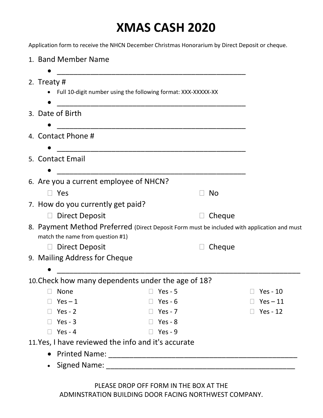## XMAS CASH 2020

Application form to receive the NHCN December Christmas Honorarium by Direct Deposit or cheque.

|                                        | 1. Band Member Name                                                                                                             |                |           |                 |
|----------------------------------------|---------------------------------------------------------------------------------------------------------------------------------|----------------|-----------|-----------------|
|                                        | 2. Treaty #<br>• Full 10-digit number using the following format: XXX-XXXXX-XX                                                  |                |           |                 |
|                                        | 3. Date of Birth                                                                                                                |                |           |                 |
|                                        | 4. Contact Phone #                                                                                                              |                |           |                 |
|                                        | 5. Contact Email                                                                                                                |                |           |                 |
| 6. Are you a current employee of NHCN? |                                                                                                                                 |                |           |                 |
|                                        | $\Box$ Yes                                                                                                                      |                | <b>No</b> |                 |
|                                        | 7. How do you currently get paid?                                                                                               |                |           |                 |
|                                        | D Direct Deposit                                                                                                                |                | Cheque    |                 |
|                                        | 8. Payment Method Preferred (Direct Deposit Form must be included with application and must<br>match the name from question #1) |                |           |                 |
|                                        | <b>Direct Deposit</b><br>$\Box$                                                                                                 |                | Cheque    |                 |
|                                        | 9. Mailing Address for Cheque                                                                                                   |                |           |                 |
|                                        |                                                                                                                                 |                |           |                 |
|                                        | 10. Check how many dependents under the age of 18?                                                                              |                |           |                 |
|                                        | $\Box$ None                                                                                                                     | $\Box$ Yes - 5 |           | $\Box$ Yes - 10 |
|                                        | $Yes - 1$                                                                                                                       | Yes - $6$      |           | $Yes - 11$      |
|                                        | Yes - $2$                                                                                                                       | Yes - $7$      |           | Yes - 12        |
|                                        | Yes - $3$                                                                                                                       | $\Box$ Yes - 8 |           |                 |
|                                        | $Yes - 4$                                                                                                                       | $Yes - 9$      |           |                 |
|                                        | 11.Yes, I have reviewed the info and it's accurate                                                                              |                |           |                 |
|                                        |                                                                                                                                 |                |           |                 |
|                                        | <b>Signed Name:</b>                                                                                                             |                |           |                 |

PLEASE DROP OFF FORM IN THE BOX AT THE ADMINSTRATION BUILDING DOOR FACING NORTHWEST COMPANY.